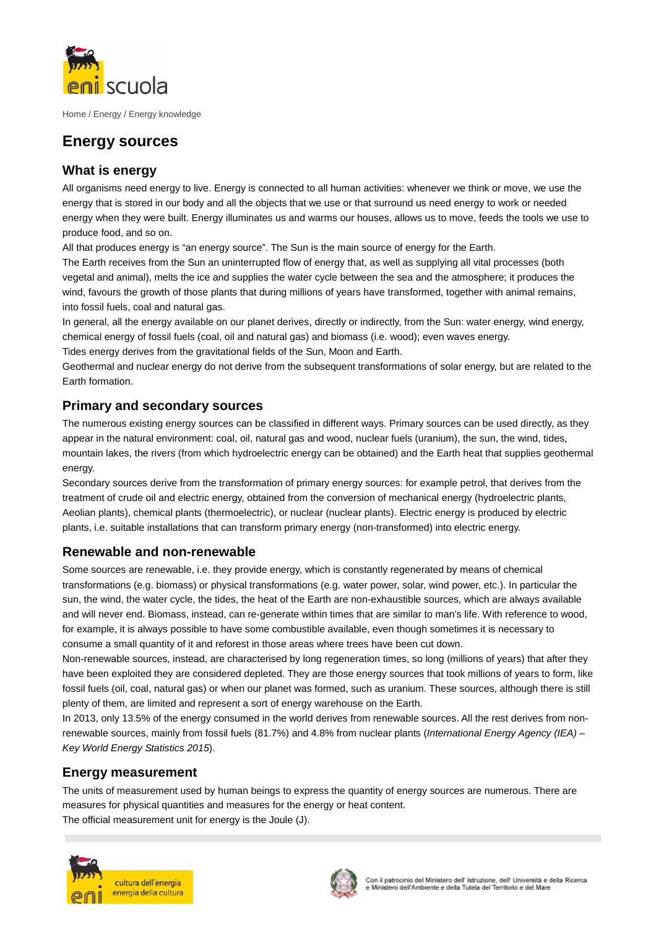

Home / Energy / Energy knowledge

# **Energy sources**

## **What is energy**

All organisms need energy to live. Energy is connected to all human activities: whenever we think or move, we use the energy that is stored in our body and all the objects that we use or that surround us need energy to work or needed energy when they were built. Energy illuminates us and warms our houses, allows us to move, feeds the tools we use to produce food, and so on.

All that produces energy is "an energy source". The Sun is the main source of energy for the Earth.

The Earth receives from the Sun an uninterrupted flow of energy that, as well as supplying all vital processes (both vegetal and animal), melts the ice and supplies the water cycle between the sea and the atmosphere; it produces the wind, favours the growth of those plants that during millions of years have transformed, together with animal remains, into fossil fuels, coal and natural gas.

In general, all the energy available on our planet derives, directly or indirectly, from the Sun: water energy, wind energy, chemical energy of fossil fuels (coal, oil and natural gas) and biomass (i.e. wood); even waves energy.

Tides energy derives from the gravitational fields of the Sun, Moon and Earth.

Geothermal and nuclear energy do not derive from the subsequent transformations of solar energy, but are related to the Earth formation.

## **Primary and secondary sources**

The numerous existing energy sources can be classified in different ways. Primary sources can be used directly, as they appear in the natural environment: coal, oil, natural gas and wood, nuclear fuels (uranium), the sun, the wind, tides, mountain lakes, the rivers (from which hydroelectric energy can be obtained) and the Earth heat that supplies geothermal energy

Secondary sources derive from the transformation of primary energy sources: for example petrol, that derives from the treatment of crude oil and electric energy, obtained from the conversion of mechanical energy (hydroelectric plants, Aeolian plants), chemical plants (thermoelectric), or nuclear (nuclear plants). Electric energy is produced by electric plants, i.e. suitable installations that can transform primary energy (non-transformed) into electric energy.

## **Renewable and non-renewable**

Some sources are renewable, i.e. they provide energy, which is constantly regenerated by means of chemical transformations (e.g. biomass) or physical transformations (e.g. water power, solar, wind power, etc.). In particular the sun, the wind, the water cycle, the tides, the heat of the Earth are non-exhaustible sources, which are always available and will never end. Biomass, instead, can re-generate within times that are similar to man's life. With reference to wood, for example, it is always possible to have some combustible available, even though sometimes it is necessary to consume a small quantity of it and reforest in those areas where trees have been cut down.

Non-renewable sources, instead, are characterised by long regeneration times, so long (millions of years) that after they have been exploited they are considered depleted. They are those energy sources that took millions of years to form, like fossil fuels (oil, coal, natural gas) or when our planet was formed, such as uranium. These sources, although there is still plenty of them, are limited and represent a sort of energy warehouse on the Earth.

In 2013, only 13.5% of the energy consumed in the world derives from renewable sources. All the rest derives from nonrenewable sources, mainly from fossil fuels (81.7%) and 4.8% from nuclear plants (International Energy Agency (IEA) – Key World Energy Statistics 2015).

### **Energy measurement**

The units of measurement used by human beings to express the quantity of energy sources are numerous. There are measures for physical quantities and measures for the energy or heat content. The official measurement unit for energy is the Joule (J).